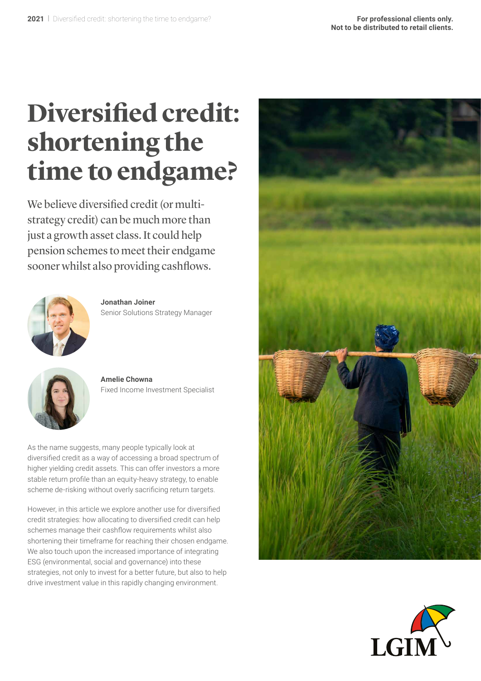# **Diversified credit: shortening the time to endgame?**

We believe diversified credit (or multistrategy credit) can be much more than just a growth asset class. It could help pension schemes to meet their endgame sooner whilst also providing cashflows.



**Jonathan Joiner** Senior Solutions Strategy Manager



**Amelie Chowna** Fixed Income Investment Specialist

As the name suggests, many people typically look at diversified credit as a way of accessing a broad spectrum of higher yielding credit assets. This can offer investors a more stable return profile than an equity-heavy strategy, to enable scheme de-risking without overly sacrificing return targets.

However, in this article we explore another use for diversified credit strategies: how allocating to diversified credit can help schemes manage their cashflow requirements whilst also shortening their timeframe for reaching their chosen endgame. We also touch upon the increased importance of integrating ESG (environmental, social and governance) into these strategies, not only to invest for a better future, but also to help drive investment value in this rapidly changing environment.



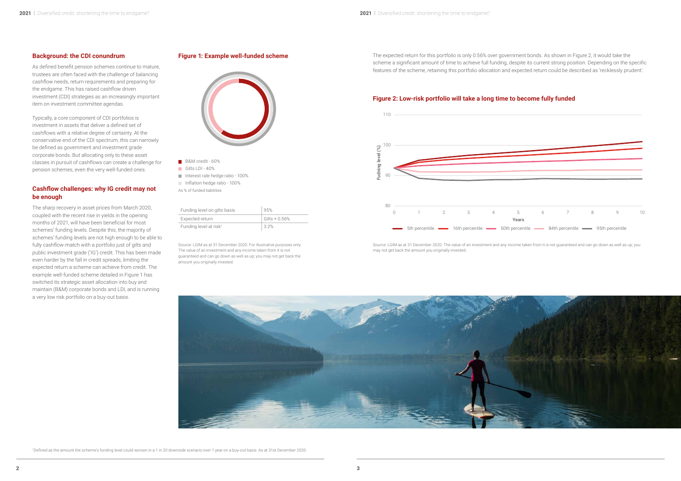## **Background: the CDI conundrum**

As defined benefit pension schemes continue to mature, trustees are often faced with the challenge of balancing cashflow needs, return requirements and preparing for the endgame. This has raised cashflow driven investment (CDI) strategies as an increasingly important item on investment committee agendas.

Typically, a core component of CDI portfolios is investment in assets that deliver a defined set of cashflows with a relative degree of certainty. At the conservative end of the CDI spectrum, this can narrowly be defined as government and investment grade corporate bonds. But allocating only to these asset classes in pursuit of cashflows can create a challenge for pension schemes, even the very well-funded ones.

## **Cashflow challenges: why IG credit may not be enough**

The sharp recovery in asset prices from March 2020, coupled with the recent rise in yields in the opening months of 2021, will have been beneficial for most schemes' funding levels. Despite this, the majority of schemes' funding levels are not high enough to be able to fully cashflow-match with a portfolio just of gilts and public investment grade ('IG') credit. This has been made even harder by the fall in credit spreads, limiting the expected return a scheme can achieve from credit. The example well-funded scheme detailed in Figure 1 has switched its strategic asset allocation into buy and maintain (B&M) corporate bonds and LDI, and is running a very low risk portfolio on a buy-out basis.

- **B&M** credit 60%
- Gilts LDI 40%
- Interest rate hedge ratio 100%
- Inflation hedge ratio 100%
- As % of funded liabilities

## **Figure 1: Example well-funded scheme**



Source: LGIM as at 31 December 2020. For illustrative purposes only. The value of an investment and any income taken from it is not guaranteed and can go down as well as up; you may not get back the amount you originally invested.

The expected return for this portfolio is only 0.56% over government bonds. As shown in Figure 2, it would take the scheme a significant amount of time to achieve full funding, despite its current strong position. Depending on the specific features of the scheme, retaining this portfolio allocation and expected return could be described as 'recklessly prudent'.

## **Figure 2: Low-risk portfolio will take a long time to become fully funded**



Source: LGIM as at 31 December 2020. The value of an investment and any income taken from it is not guaranteed and can go down as well as up; you may not get back the amount you originally invested.



| Funding level on gilts basis       | 95%             |
|------------------------------------|-----------------|
| Expected return                    | $Gilts + 0.56%$ |
| Funding level at risk <sup>1</sup> | 3.2%            |

1 Defined as the amount the scheme's funding level could worsen in a 1 in 20 downside scenario over 1 year on a buy-out basis. As at 31st December 2020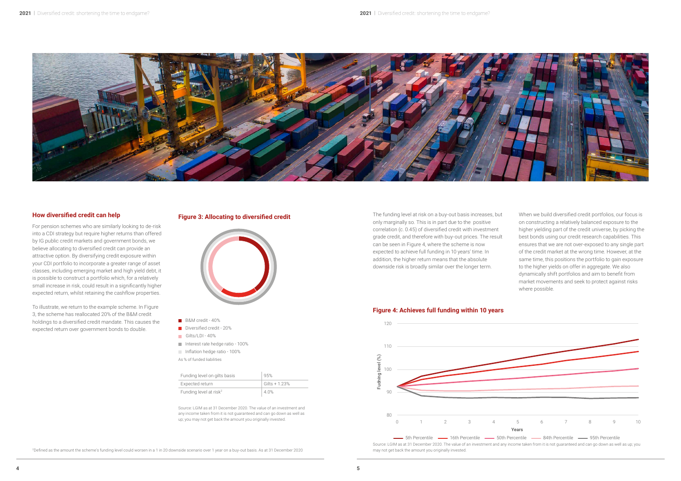

## **How diversified credit can help**

For pension schemes who are similarly looking to de-risk into a CDI strategy but require higher returns than offered by IG public credit markets and government bonds, we believe allocating to diversified credit can provide an attractive option. By diversifying credit exposure within your CDI portfolio to incorporate a greater range of asset classes, including emerging market and high yield debt, it is possible to construct a portfolio which, for a relatively small increase in risk, could result in a significantly higher expected return, whilst retaining the cashflow properties.

To illustrate, we return to the example scheme. In Figure 3, the scheme has reallocated 20% of the B&M credit holdings to a diversified credit mandate. This causes the expected return over government bonds to double.

## **Figure 3: Allocating to diversified credit**



- **B&M** credit 40%
- Diversified credit 20%
- Gilts/LDI 40%
- Interest rate hedge ratio 100%
- Inflation hedge ratio 100%
- As % of funded liabilities

## **Figure 4: Achieves full funding within 10 years**

Source: LGIM as at 31 December 2020. The value of an investment and any income taken from it is not guaranteed and can go down as well as up; you may not get back the amount you originally invested.

The funding level at risk on a buy-out basis increases, but only marginally so. This is in part due to the positive correlation (c. 0.45) of diversified credit with investment grade credit, and therefore with buy-out prices. The result can be seen in Figure 4, where the scheme is now expected to achieve full funding in 10 years' time. In addition, the higher return means that the absolute downside risk is broadly similar over the longer term.



| Funding level on gilts basis       | 95%             |
|------------------------------------|-----------------|
| Expected return                    | Gilts + $1.23%$ |
| Funding level at risk <sup>2</sup> | 40%             |

2Defined as the amount the scheme's funding level could worsen in a 1 in 20 downside scenario over 1 year on a buy-out basis. As at 31 December 2020

When we build diversified credit portfolios, our focus is on constructing a relatively balanced exposure to the higher yielding part of the credit universe, by picking the best bonds using our credit research capabilities. This ensures that we are not over-exposed to any single part of the credit market at the wrong time. However, at the same time, this positions the portfolio to gain exposure to the higher yields on offer in aggregate. We also dynamically shift portfolios and aim to benefit from market movements and seek to protect against risks where possible.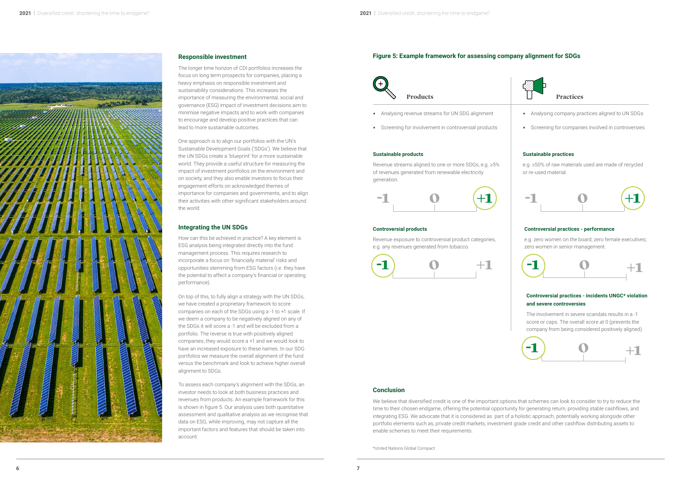

- 
- Analysing revenue streams for UN SDG alignment Analysing company practices aligned to UN SDGs<br>• Screening for involvement in controversial products Screening for companies involved in controversies



## **Responsible investment**

The longer time horizon of CDI portfolios increases the focus on long term prospects for companies, placing a heavy emphasis on responsible investment and sustainability considerations. This increases the importance of measuring the environmental, social and governance (ESG) impact of investment decisions aim to minimise negative impacts and to work with companies to encourage and develop positive practices that can lead to more sustainable outcomes.

One approach is to align our portfolios with the UN's Sustainable Development Goals ('SDGs'). We believe that the UN SDGs create a 'blueprint' for a more sustainable world. They provide a useful structure for measuring the impact of investment portfolios on the environment and on society, and they also enable investors to focus their engagement efforts on acknowledged themes of importance for companies and governments, and to align their activities with other significant stakeholders around the world.

## **Integrating the UN SDGs**

How can this be achieved in practice? A key element is ESG analysis being integrated directly into the fund management process. This requires research to incorporate a focus on 'financially material' risks and opportunities stemming from ESG factors (i.e. they have the potential to affect a company's financial or operating performance).

On top of this, to fully align a strategy with the UN SDGs, we have created a proprietary framework to score companies on each of the SDGs using a -1 to +1 scale. If we deem a company to be negatively aligned on any of the SDGs it will score a -1 and will be excluded from a portfolio. The reverse is true with positively aligned companies, they would score a +1 and we would look to have an increased exposure to these names. In our SDG portfolios we measure the overall alignment of the fund versus the benchmark and look to achieve higher overall alignment to SDGs.

> We believe that diversified credit is one of the important options that schemes can look to consider to try to reduce the time to their chosen endgame, offering the potential opportunity for generating return, providing stable cashflows, and integrating ESG. We advocate that it is considered as part of a holistic approach, potentially working alongside other portfolio elements such as, private credit markets, investment grade credit and other cashflow distributing assets to enable schemes to meet their requirements.

To assess each company's alignment with the SDGs, an investor needs to look at both business practices and revenues from products. An example framework for this is shown in figure 5. Our analysis uses both quantitative assessment and qualitative analysis as we recognise that data on ESG, while improving, may not capture all the important factors and features that should be taken into account.

## **Figure 5: Example framework for assessing company alignment for SDGs**

- Analysing revenue streams for UN SDG alignment
- 



#### **Sustainable products**

Revenue streams aligned to one or more SDGs, e.g. ≥5% of revenues generated from renewable electricity generation.

#### **Sustainable practices**

e.g. ≥50% of raw materials used are made of recycled or re-used material.

### **Controversial products**

Revenue exposure to controversial product categories, e.g. any revenues generated from tobacco.

#### **Controversial practices - performance**

e.g. zero women on the board; zero female executives; zero women in senior management.

## **Controversial practices - incidents UNGC\* violation and severe controversies**

The involvement in severe scandals results in a -1 score or caps. The overall score at 0 (prevents the company from being considered positively aligned).











\*United Nations Global Compact

### **Conclusion**